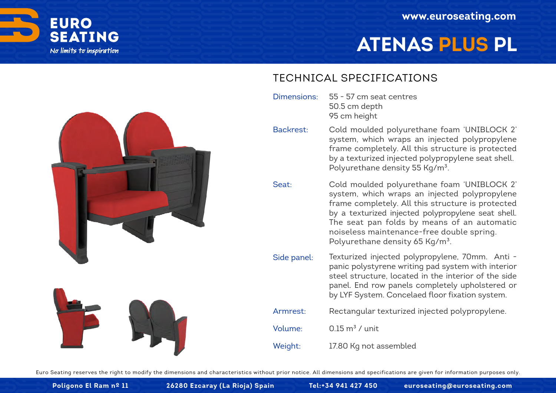

# **ATENAS PLUS PL**





#### TECHNICAL SPECIFICATIONS

- 55 57 cm seat centres 50.5 cm depth 95 cm height Dimensions:
- Cold moulded polyurethane foam 'UNIBLOCK 2' system, which wraps an injected polypropylene frame completely. All this structure is protected by a texturized injected polypropylene seat shell. Polyurethane density 55 Kg/m<sup>3</sup>. Backrest:
- Cold moulded polyurethane foam 'UNIBLOCK 2' system, which wraps an injected polypropylene frame completely. All this structure is protected by a texturized injected polypropylene seat shell. The seat pan folds by means of an automatic noiseless maintenance-free double spring. Polyurethane density 65 Kg/m<sup>3</sup>. Seat:
- Texturized injected polypropylene, 70mm. Anti panic polystyrene writing pad system with interior steel structure, located in the interior of the side panel. End row panels completely upholstered or by LYF System. Concelaed floor fixation system. Side panel:
- Rectangular texturized injected polypropylene. Armrest:
- $0.15 \text{ m}^3$  / unit Volume:
- 17.80 Kg not assembled Weight:

Euro Seating reserves the right to modify the dimensions and characteristics without prior notice. All dimensions and specifications are given for information purposes only.